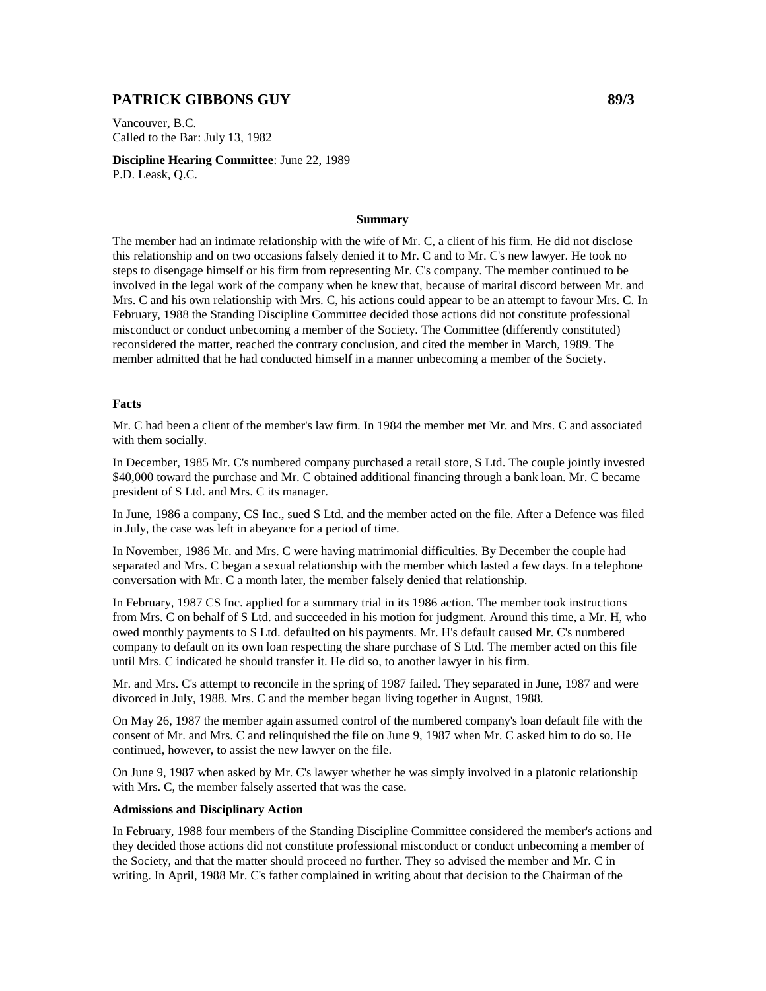## **PATRICK GIBBONS GUY 89/3**

Vancouver, B.C. Called to the Bar: July 13, 1982

**Discipline Hearing Committee**: June 22, 1989 P.D. Leask, Q.C.

## **Summary**

The member had an intimate relationship with the wife of Mr. C, a client of his firm. He did not disclose this relationship and on two occasions falsely denied it to Mr. C and to Mr. C's new lawyer. He took no steps to disengage himself or his firm from representing Mr. C's company. The member continued to be involved in the legal work of the company when he knew that, because of marital discord between Mr. and Mrs. C and his own relationship with Mrs. C, his actions could appear to be an attempt to favour Mrs. C. In February, 1988 the Standing Discipline Committee decided those actions did not constitute professional misconduct or conduct unbecoming a member of the Society. The Committee (differently constituted) reconsidered the matter, reached the contrary conclusion, and cited the member in March, 1989. The member admitted that he had conducted himself in a manner unbecoming a member of the Society.

## **Facts**

Mr. C had been a client of the member's law firm. In 1984 the member met Mr. and Mrs. C and associated with them socially.

In December, 1985 Mr. C's numbered company purchased a retail store, S Ltd. The couple jointly invested \$40,000 toward the purchase and Mr. C obtained additional financing through a bank loan. Mr. C became president of S Ltd. and Mrs. C its manager.

In June, 1986 a company, CS Inc., sued S Ltd. and the member acted on the file. After a Defence was filed in July, the case was left in abeyance for a period of time.

In November, 1986 Mr. and Mrs. C were having matrimonial difficulties. By December the couple had separated and Mrs. C began a sexual relationship with the member which lasted a few days. In a telephone conversation with Mr. C a month later, the member falsely denied that relationship.

In February, 1987 CS Inc. applied for a summary trial in its 1986 action. The member took instructions from Mrs. C on behalf of S Ltd. and succeeded in his motion for judgment. Around this time, a Mr. H, who owed monthly payments to S Ltd. defaulted on his payments. Mr. H's default caused Mr. C's numbered company to default on its own loan respecting the share purchase of S Ltd. The member acted on this file until Mrs. C indicated he should transfer it. He did so, to another lawyer in his firm.

Mr. and Mrs. C's attempt to reconcile in the spring of 1987 failed. They separated in June, 1987 and were divorced in July, 1988. Mrs. C and the member began living together in August, 1988.

On May 26, 1987 the member again assumed control of the numbered company's loan default file with the consent of Mr. and Mrs. C and relinquished the file on June 9, 1987 when Mr. C asked him to do so. He continued, however, to assist the new lawyer on the file.

On June 9, 1987 when asked by Mr. C's lawyer whether he was simply involved in a platonic relationship with Mrs. C, the member falsely asserted that was the case.

## **Admissions and Disciplinary Action**

In February, 1988 four members of the Standing Discipline Committee considered the member's actions and they decided those actions did not constitute professional misconduct or conduct unbecoming a member of the Society, and that the matter should proceed no further. They so advised the member and Mr. C in writing. In April, 1988 Mr. C's father complained in writing about that decision to the Chairman of the